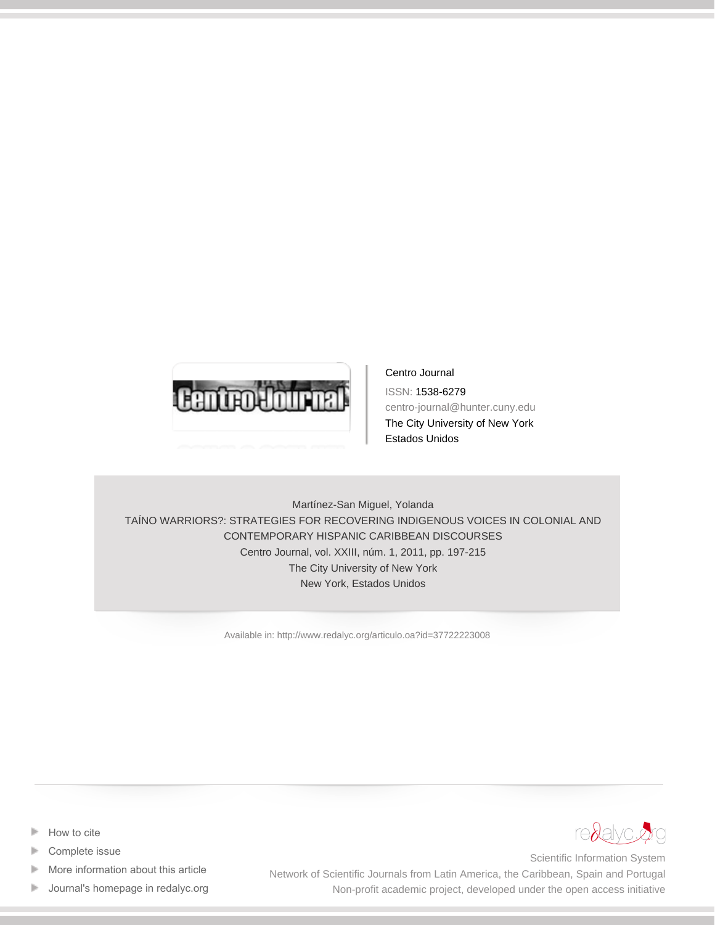

Centro Journal ISSN: 1538-6279 centro-journal@hunter.cuny.edu The City University of New York Estados Unidos

Martínez-San Miguel, Yolanda TAÍNO WARRIORS?: STRATEGIES FOR RECOVERING INDIGENOUS VOICES IN COLONIAL AND CONTEMPORARY HISPANIC CARIBBEAN DISCOURSES Centro Journal, vol. XXIII, núm. 1, 2011, pp. 197-215 The City University of New York New York, Estados Unidos

[Available in: http://www.redalyc.org/articulo.oa?id=37722223008](http://www.redalyc.org/articulo.oa?id=37722223008)

- [How to cite](http://www.redalyc.org/comocitar.oa?id=37722223008) Þ
- [Complete issue](http://www.redalyc.org/fasciculo.oa?id=377&numero=22223)
- [More information about this article](http://www.redalyc.org/articulo.oa?id=37722223008) Þ
- [Journal's homepage in redalyc.org](http://www.redalyc.org/revista.oa?id=377)  $\mathbb P$



Scientific Information System Network of Scientific Journals from Latin America, the Caribbean, Spain and Portugal Non-profit academic project, developed under the open access initiative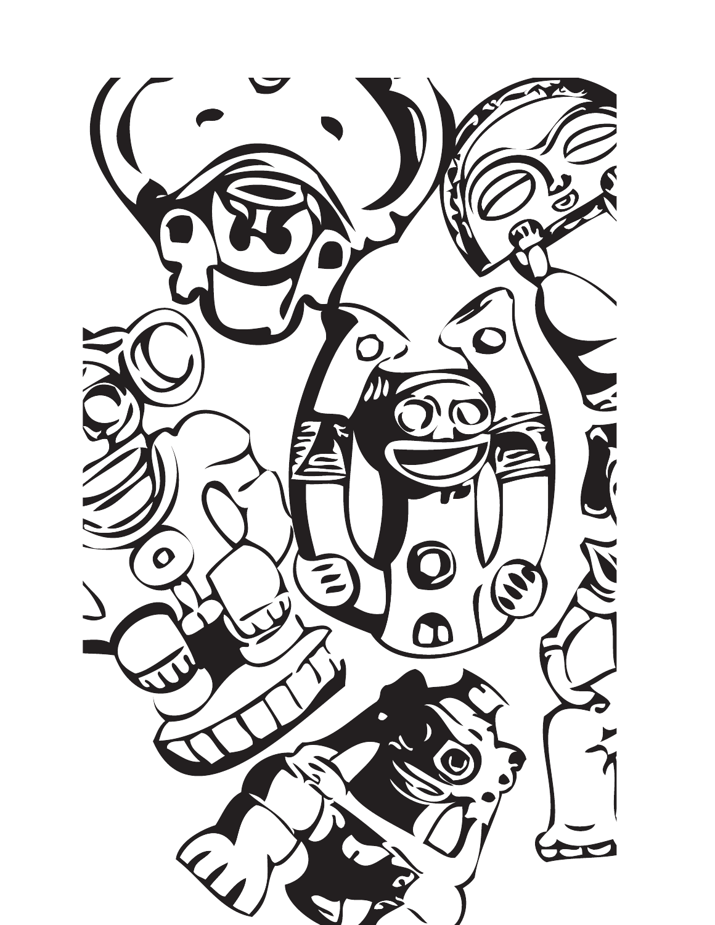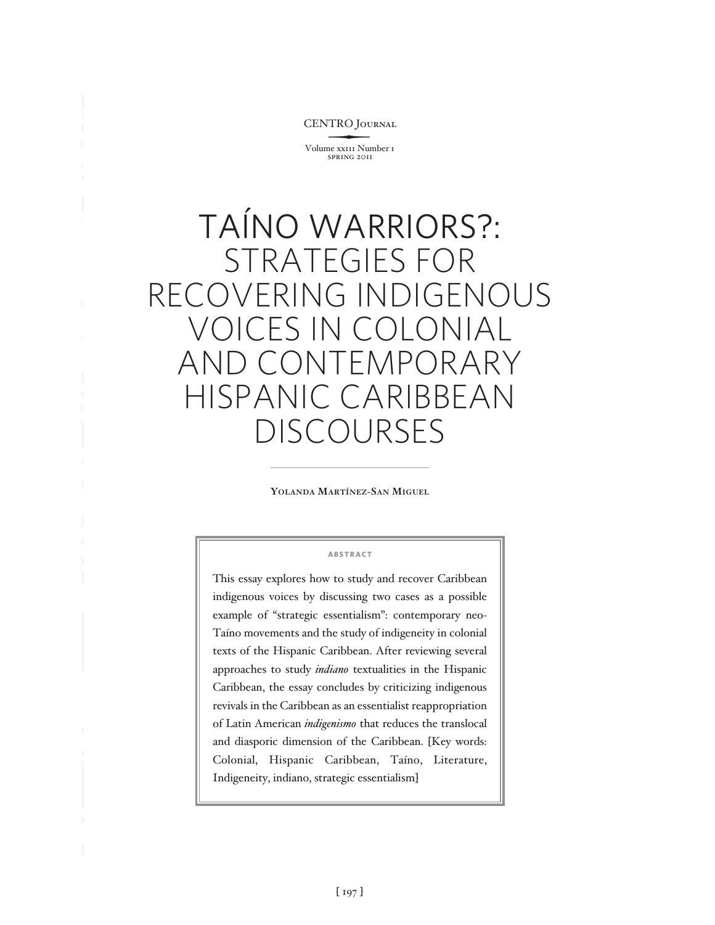CENTRO JOURNAL Volume xxIII Number I SPRING 2011

# TAÍNO WARRIORS?: **STRATEGIES FOR** RECOVERING INDIGENOUS VOICES IN COLONIAL AND CONTEMPORARY HISPANIC CARIBBEAN **DISCOURSES**

YOLANDA MARTÍNEZ-SAN MIGUEL

## ABSTRACT

This essay explores how to study and recover Caribbean indigenous voices by discussing two cases as a possible example of "strategic essentialism": contemporary neo-Taíno movements and the study of indigeneity in colonial texts of the Hispanic Caribbean. After reviewing several approaches to study *indiano* textualities in the Hispanic Caribbean, the essay concludes by criticizing indigenous revivals in the Caribbean as an essentialist reappropriation of Latin American indigenismo that reduces the translocal and diasporic dimension of the Caribbean. [Key words: Colonial, Hispanic Caribbean, Taíno, Literature, Indigeneity, indiano, strategic essentialism]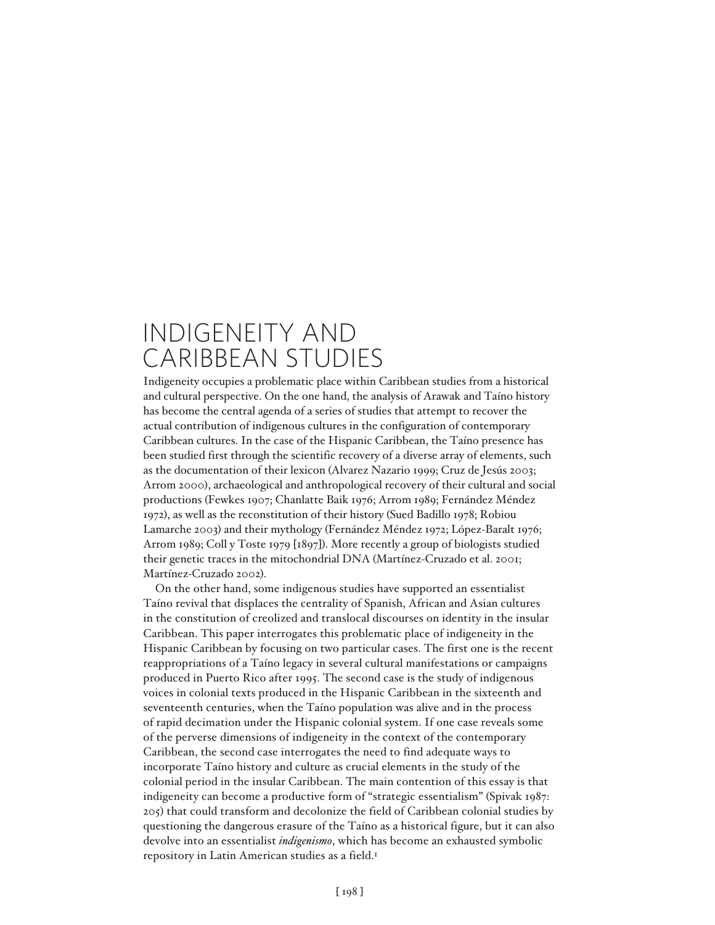# **INDIGENEITY AND CARIBBEAN STUDIES**

Indigeneity occupies a problematic place within Caribbean studies from a historical and cultural perspective. On the one hand, the analysis of Arawak and Taíno history has become the central agenda of a series of studies that attempt to recover the actual contribution of indigenous cultures in the configuration of contemporary Caribbean cultures. In the case of the Hispanic Caribbean, the Taino presence has been studied first through the scientific recovery of a diverse array of elements, such as the documentation of their lexicon (Alvarez Nazario 1999; Cruz de Jesús 2003; Arrom 2000), archaeological and anthropological recovery of their cultural and social productions (Fewkes 1907; Chanlatte Baik 1976; Arrom 1989; Fernández Méndez 1972), as well as the reconstitution of their history (Sued Badillo 1978; Robiou Lamarche 2003) and their mythology (Fernández Méndez 1972; López-Baralt 1976; Arrom 1989; Coll y Toste 1979 [1897]). More recently a group of biologists studied their genetic traces in the mitochondrial DNA (Martínez-Cruzado et al. 2001; Martínez-Cruzado 2002).

On the other hand, some indigenous studies have supported an essentialist Taíno revival that displaces the centrality of Spanish, African and Asian cultures in the constitution of creolized and translocal discourses on identity in the insular Caribbean. This paper interrogates this problematic place of indigeneity in the Hispanic Caribbean by focusing on two particular cases. The first one is the recent reappropriations of a Taíno legacy in several cultural manifestations or campaigns produced in Puerto Rico after 1995. The second case is the study of indigenous voices in colonial texts produced in the Hispanic Caribbean in the sixteenth and seventeenth centuries, when the Taíno population was alive and in the process of rapid decimation under the Hispanic colonial system. If one case reveals some of the perverse dimensions of indigeneity in the context of the contemporary Caribbean, the second case interrogates the need to find adequate ways to incorporate Taino history and culture as crucial elements in the study of the colonial period in the insular Caribbean. The main contention of this essay is that indigeneity can become a productive form of "strategic essentialism" (Spivak 1987: 205) that could transform and decolonize the field of Caribbean colonial studies by questioning the dangerous erasure of the Taino as a historical figure, but it can also devolve into an essentialist *indigenismo*, which has become an exhausted symbolic repository in Latin American studies as a field.<sup>1</sup>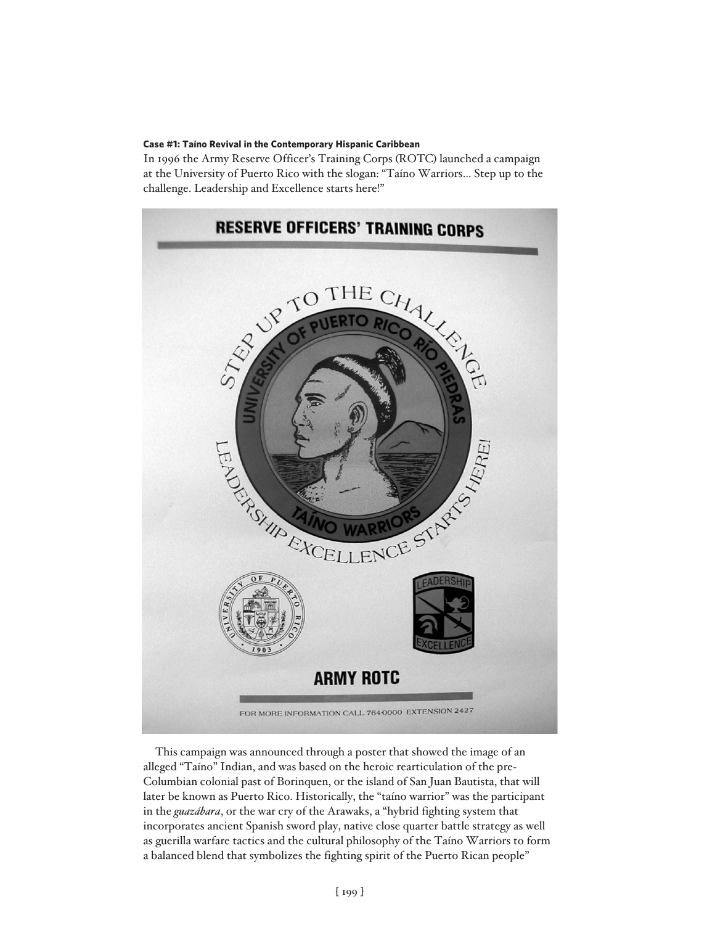# Case #1: Taíno Revival in the Contemporary Hispanic Caribbean

In 1996 the Army Reserve Officer's Training Corps (ROTC) launched a campaign at the University of Puerto Rico with the slogan: "Taíno Warriors... Step up to the challenge. Leadership and Excellence starts here!"



This campaign was announced through a poster that showed the image of an alleged "Taíno" Indian, and was based on the heroic rearticulation of the pre-Columbian colonial past of Borinquen, or the island of San Juan Bautista, that will later be known as Puerto Rico. Historically, the "taino warrior" was the participant in the guazábara, or the war cry of the Arawaks, a "hybrid fighting system that incorporates ancient Spanish sword play, native close quarter battle strategy as well as guerilla warfare tactics and the cultural philosophy of the Taíno Warriors to form a balanced blend that symbolizes the fighting spirit of the Puerto Rican people"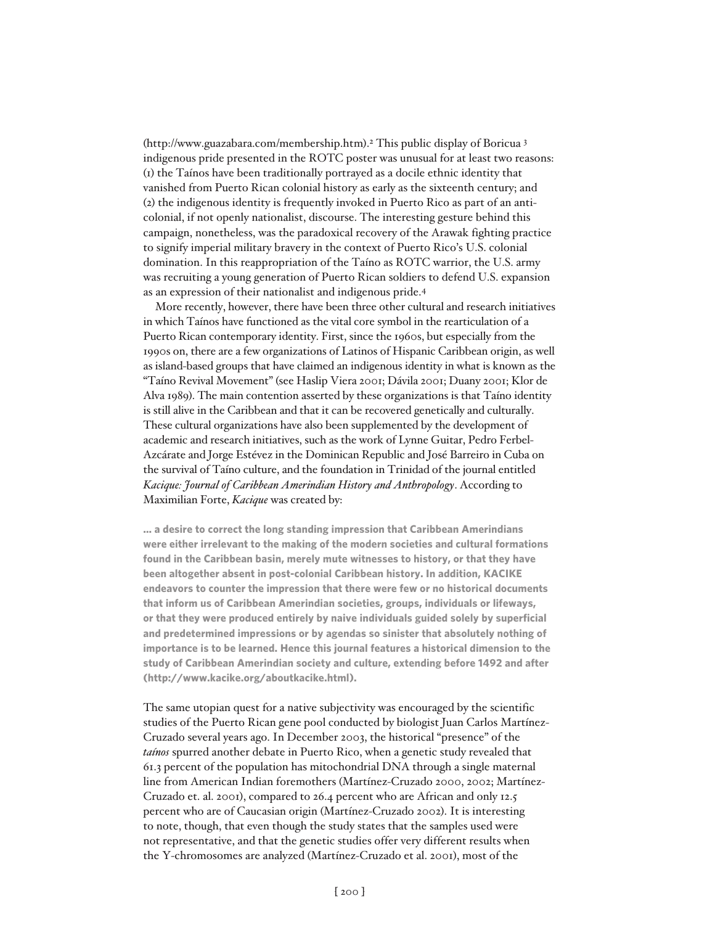(http://www.guazabara.com/membership.htm).<sup>2</sup> This public display of Boricua 3 indigenous pride presented in the ROTC poster was unusual for at least two reasons: (1) the Tainos have been traditionally portrayed as a docile ethnic identity that vanished from Puerto Rican colonial history as early as the sixteenth century; and (2) the indigenous identity is frequently invoked in Puerto Rico as part of an anticolonial, if not openly nationalist, discourse. The interesting gesture behind this campaign, nonetheless, was the paradoxical recovery of the Arawak fighting practice to signify imperial military bravery in the context of Puerto Rico's U.S. colonial domination. In this reappropriation of the Taíno as ROTC warrior, the U.S. army was recruiting a young generation of Puerto Rican soldiers to defend U.S. expansion as an expression of their nationalist and indigenous pride.<sup>4</sup>

More recently, however, there have been three other cultural and research initiatives in which Taínos have functioned as the vital core symbol in the rearticulation of a Puerto Rican contemporary identity. First, since the 1960s, but especially from the 1990s on, there are a few organizations of Latinos of Hispanic Caribbean origin, as well as island-based groups that have claimed an indigenous identity in what is known as the "Taíno Revival Movement" (see Haslip Viera 2001; Dávila 2001; Duany 2001; Klor de Alva 1989). The main contention asserted by these organizations is that Taíno identity is still alive in the Caribbean and that it can be recovered genetically and culturally. These cultural organizations have also been supplemented by the development of academic and research initiatives, such as the work of Lynne Guitar, Pedro Ferbel-Azcárate and Jorge Estévez in the Dominican Republic and José Barreiro in Cuba on the survival of Taino culture, and the foundation in Trinidad of the journal entitled *Kacique: Journal of Caribbean Amerindian History and Anthropology. According to* Maximilian Forte, Kacique was created by:

... a desire to correct the long standing impression that Caribbean Amerindians were either irrelevant to the making of the modern societies and cultural formations found in the Caribbean basin, merely mute witnesses to history, or that they have been altogether absent in post-colonial Caribbean history. In addition, KACIKE endeavors to counter the impression that there were few or no historical documents that inform us of Caribbean Amerindian societies, groups, individuals or lifeways, or that they were produced entirely by naive individuals guided solely by superficial and predetermined impressions or by agendas so sinister that absolutely nothing of importance is to be learned. Hence this journal features a historical dimension to the study of Caribbean Amerindian society and culture, extending before 1492 and after (http://www.kacike.org/aboutkacike.html).

The same utopian quest for a native subjectivity was encouraged by the scientific studies of the Puerto Rican gene pool conducted by biologist Juan Carlos Martínez-Cruzado several years ago. In December 2003, the historical "presence" of the tainos spurred another debate in Puerto Rico, when a genetic study revealed that 61.3 percent of the population has mitochondrial DNA through a single maternal line from American Indian foremothers (Martínez-Cruzado 2000, 2002; Martínez-Cruzado et. al. 2001), compared to 26.4 percent who are African and only 12.5 percent who are of Caucasian origin (Martínez-Cruzado 2002). It is interesting to note, though, that even though the study states that the samples used were not representative, and that the genetic studies offer very different results when the Y-chromosomes are analyzed (Martínez-Cruzado et al. 2001), most of the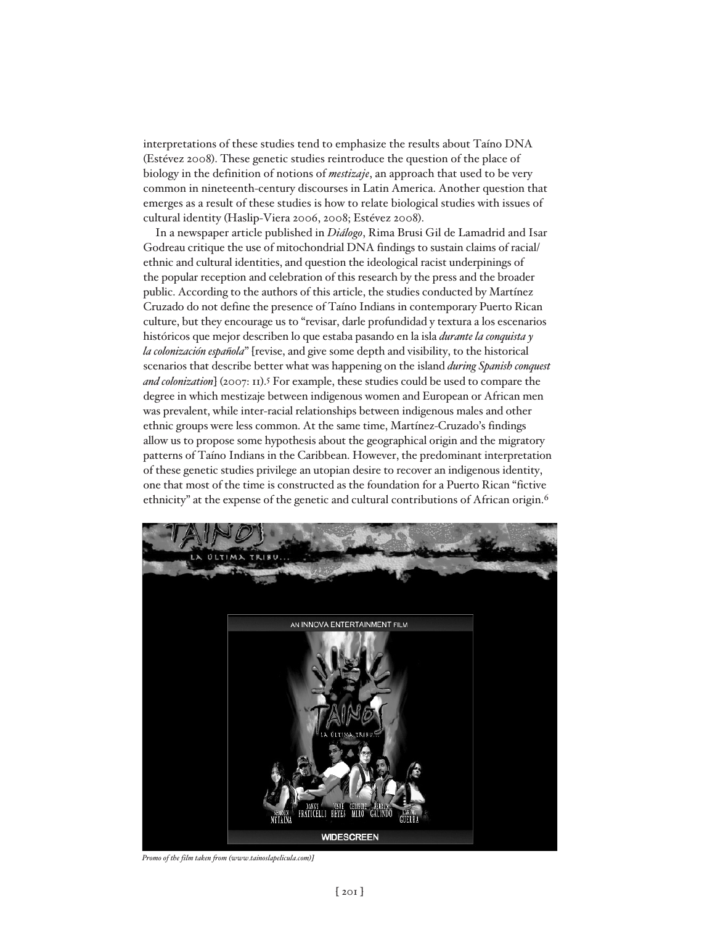interpretations of these studies tend to emphasize the results about Taíno DNA (Estévez 2008). These genetic studies reintroduce the question of the place of biology in the definition of notions of mestizaje, an approach that used to be very common in nineteenth-century discourses in Latin America. Another question that emerges as a result of these studies is how to relate biological studies with issues of cultural identity (Haslip-Viera 2006, 2008; Estévez 2008).

In a newspaper article published in Diálogo, Rima Brusi Gil de Lamadrid and Isar Godreau critique the use of mitochondrial DNA findings to sustain claims of racial/ ethnic and cultural identities, and question the ideological racist underpinings of the popular reception and celebration of this research by the press and the broader public. According to the authors of this article, the studies conducted by Martínez Cruzado do not define the presence of Taíno Indians in contemporary Puerto Rican culture, but they encourage us to "revisar, darle profundidad y textura a los escenarios históricos que mejor describen lo que estaba pasando en la isla *durante la conquista* y la colonización española" [revise, and give some depth and visibility, to the historical scenarios that describe better what was happening on the island *during Spanish conquest and colonization* [(2007: 11).<sup>5</sup> For example, these studies could be used to compare the degree in which mestizaje between indigenous women and European or African men was prevalent, while inter-racial relationships between indigenous males and other ethnic groups were less common. At the same time, Martínez-Cruzado's findings allow us to propose some hypothesis about the geographical origin and the migratory patterns of Taíno Indians in the Caribbean. However, the predominant interpretation of these genetic studies privilege an utopian desire to recover an indigenous identity, one that most of the time is constructed as the foundation for a Puerto Rican "fictive ethnicity" at the expense of the genetic and cultural contributions of African origin.<sup>6</sup>



Promo of the film taken from (www.tainoslapelicula.com)]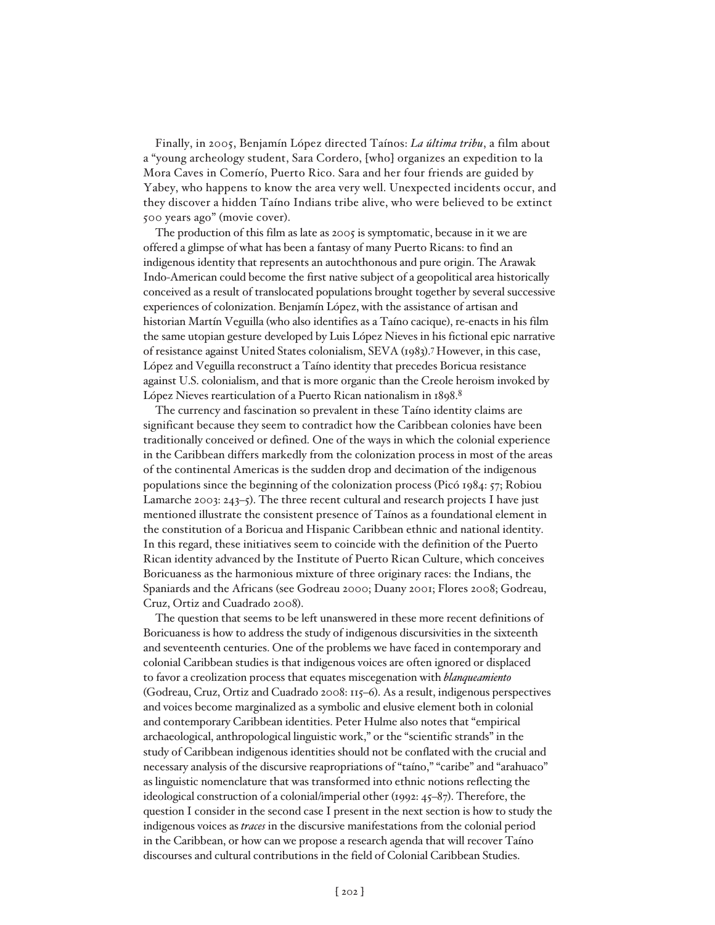Finally, in 2005, Benjamín López directed Taínos: La última tribu, a film about a "young archeology student, Sara Cordero, [who] organizes an expedition to la Mora Caves in Comerío, Puerto Rico. Sara and her four friends are guided by Yabey, who happens to know the area very well. Unexpected incidents occur, and they discover a hidden Taíno Indians tribe alive, who were believed to be extinct 500 years ago" (movie cover).

The production of this film as late as 2005 is symptomatic, because in it we are offered a glimpse of what has been a fantasy of many Puerto Ricans: to find an indigenous identity that represents an autochthonous and pure origin. The Arawak Indo-American could become the first native subject of a geopolitical area historically conceived as a result of translocated populations brought together by several successive experiences of colonization. Benjamín López, with the assistance of artisan and historian Martín Veguilla (who also identifies as a Taíno cacique), re-enacts in his film the same utopian gesture developed by Luis López Nieves in his fictional epic narrative of resistance against United States colonialism, SEVA (1983).7 However, in this case, López and Veguilla reconstruct a Taíno identity that precedes Boricua resistance against U.S. colonialism, and that is more organic than the Creole heroism invoked by López Nieves rearticulation of a Puerto Rican nationalism in 1898.8

The currency and fascination so prevalent in these Taino identity claims are significant because they seem to contradict how the Caribbean colonies have been traditionally conceived or defined. One of the ways in which the colonial experience in the Caribbean differs markedly from the colonization process in most of the areas of the continental Americas is the sudden drop and decimation of the indigenous populations since the beginning of the colonization process (Picó 1984:  $57$ ; Robiou Lamarche 2003: 243-5). The three recent cultural and research projects I have just mentioned illustrate the consistent presence of Taínos as a foundational element in the constitution of a Boricua and Hispanic Caribbean ethnic and national identity. In this regard, these initiatives seem to coincide with the definition of the Puerto Rican identity advanced by the Institute of Puerto Rican Culture, which conceives Boricuaness as the harmonious mixture of three originary races: the Indians, the Spaniards and the Africans (see Godreau 2000; Duany 2001; Flores 2008; Godreau, Cruz, Ortiz and Cuadrado 2008).

The question that seems to be left unanswered in these more recent definitions of Boricuaness is how to address the study of indigenous discursivities in the sixteenth and seventeenth centuries. One of the problems we have faced in contemporary and colonial Caribbean studies is that indigenous voices are often ignored or displaced to favor a creolization process that equates miscegenation with *blanqueamiento* (Godreau, Cruz, Ortiz and Cuadrado 2008: 115–6). As a result, indigenous perspectives and voices become marginalized as a symbolic and elusive element both in colonial and contemporary Caribbean identities. Peter Hulme also notes that "empirical archaeological, anthropological linguistic work," or the "scientific strands" in the study of Caribbean indigenous identities should not be conflated with the crucial and necessary analysis of the discursive reapropriations of "taino," "caribe" and "arahuaco" as linguistic nomenclature that was transformed into ethnic notions reflecting the ideological construction of a colonial/imperial other (1992: 45-87). Therefore, the question I consider in the second case I present in the next section is how to study the indigenous voices as *traces* in the discursive manifestations from the colonial period in the Caribbean, or how can we propose a research agenda that will recover Taino discourses and cultural contributions in the field of Colonial Caribbean Studies.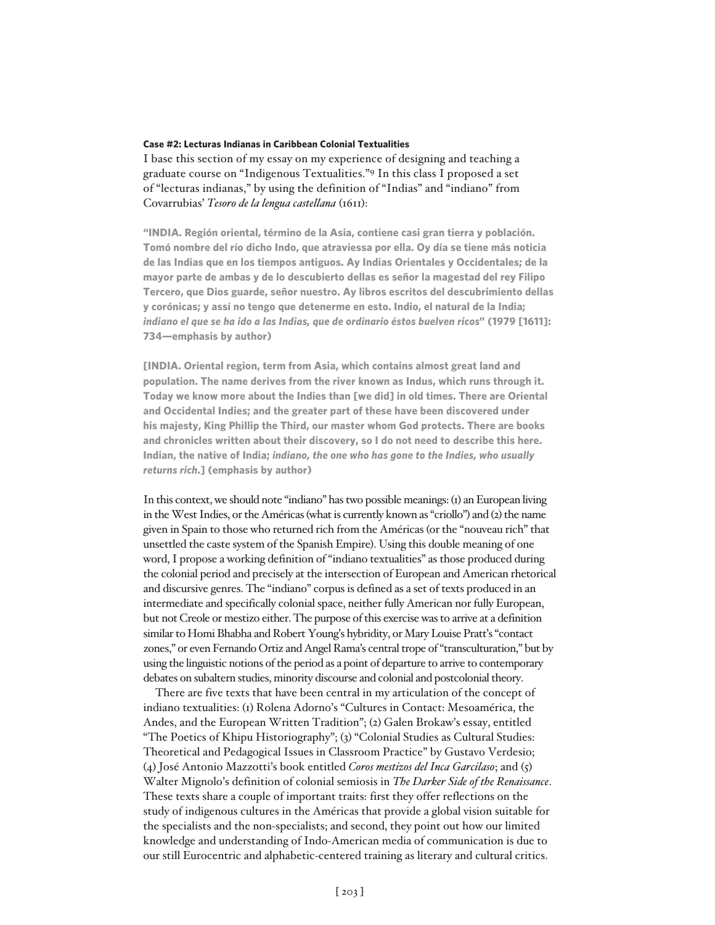#### Case #2: Lecturas Indianas in Caribbean Colonial Textualities

I base this section of my essay on my experience of designing and teaching a graduate course on "Indigenous Textualities." In this class I proposed a set of "lecturas indianas," by using the definition of "Indias" and "indiano" from Covarrubias' Tesoro de la lengua castellana (1611):

"INDIA. Región oriental, término de la Asia, contiene casi gran tierra y población. Tomó nombre del río dicho Indo, que atraviessa por ella. Oy día se tiene más noticia de las Indias que en los tiempos antiguos. Ay Indias Orientales y Occidentales; de la mayor parte de ambas y de lo descubierto dellas es señor la magestad del rey Filipo Tercero, que Dios guarde, señor nuestro. Ay libros escritos del descubrimiento dellas y corónicas; y assí no tengo que detenerme en esto. Indio, el natural de la India; indiano el que se ha ido a las Indias, que de ordinario éstos buelven ricos" (1979 [1611]: 734-emphasis by author)

[INDIA. Oriental region, term from Asia, which contains almost great land and population. The name derives from the river known as Indus, which runs through it. Today we know more about the Indies than [we did] in old times. There are Oriental and Occidental Indies; and the greater part of these have been discovered under his majesty, King Phillip the Third, our master whom God protects. There are books and chronicles written about their discovery, so I do not need to describe this here. Indian, the native of India; indiano, the one who has gone to the Indies, who usually returns rich.] (emphasis by author)

In this context, we should note "indiano" has two possible meanings: (1) an European living in the West Indies, or the Américas (what is currently known as "criollo") and (2) the name given in Spain to those who returned rich from the Américas (or the "nouveau rich" that unsettled the caste system of the Spanish Empire). Using this double meaning of one word, I propose a working definition of "indiano textualities" as those produced during the colonial period and precisely at the intersection of European and American rhetorical and discursive genres. The "indiano" corpus is defined as a set of texts produced in an intermediate and specifically colonial space, neither fully American nor fully European, but not Creole or mestizo either. The purpose of this exercise was to arrive at a definition similar to Homi Bhabha and Robert Young's hybridity, or Mary Louise Pratt's "contact zones," or even Fernando Ortiz and Angel Rama's central trope of "transculturation," but by using the linguistic notions of the period as a point of departure to arrive to contemporary debates on subaltern studies, minority discourse and colonial and postcolonial theory.

There are five texts that have been central in my articulation of the concept of indiano textualities: (1) Rolena Adorno's "Cultures in Contact: Mesoamérica, the Andes, and the European Written Tradition"; (2) Galen Brokaw's essay, entitled "The Poetics of Khipu Historiography"; (3) "Colonial Studies as Cultural Studies: Theoretical and Pedagogical Issues in Classroom Practice" by Gustavo Verdesio; (4) José Antonio Mazzotti's book entitled Coros mestizos del Inca Garcilaso; and (5) Walter Mignolo's definition of colonial semiosis in The Darker Side of the Renaissance. These texts share a couple of important traits: first they offer reflections on the study of indigenous cultures in the Américas that provide a global vision suitable for the specialists and the non-specialists; and second, they point out how our limited knowledge and understanding of Indo-American media of communication is due to our still Eurocentric and alphabetic-centered training as literary and cultural critics.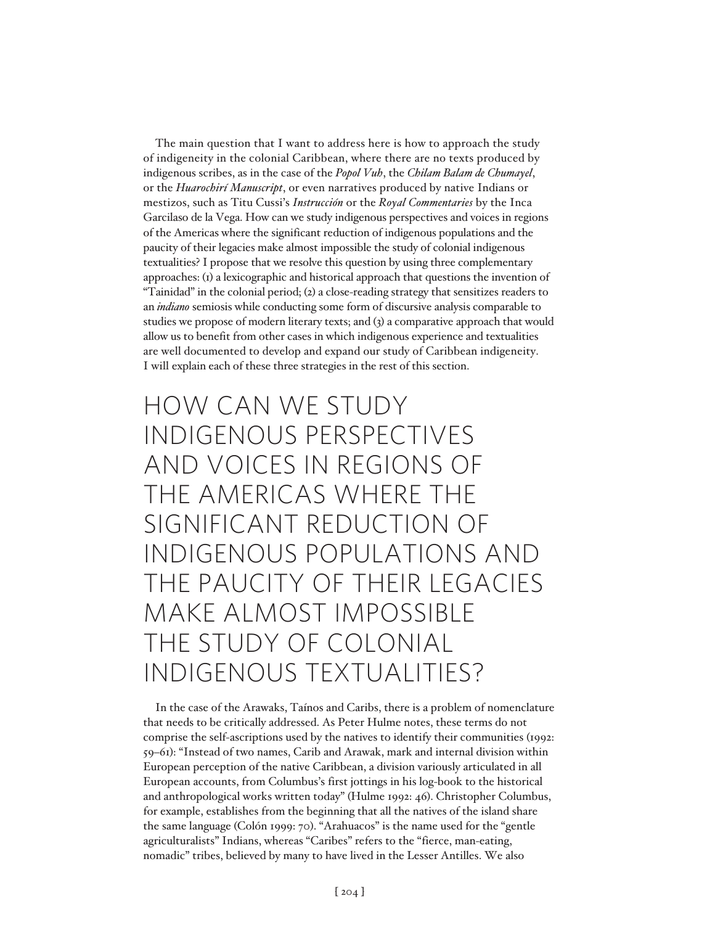The main question that I want to address here is how to approach the study of indigeneity in the colonial Caribbean, where there are no texts produced by indigenous scribes, as in the case of the Popol Vub, the Chilam Balam de Chumayel, or the *Huarochirí Manuscript*, or even narratives produced by native Indians or mestizos, such as Titu Cussi's *Instrucción* or the Royal Commentaries by the Inca Garcilaso de la Vega. How can we study indigenous perspectives and voices in regions of the Americas where the significant reduction of indigenous populations and the paucity of their legacies make almost impossible the study of colonial indigenous textualities? I propose that we resolve this question by using three complementary approaches: (1) a lexicographic and historical approach that questions the invention of "Tainidad" in the colonial period; (2) a close-reading strategy that sensitizes readers to an *indiano* semiosis while conducting some form of discursive analysis comparable to studies we propose of modern literary texts; and (3) a comparative approach that would allow us to benefit from other cases in which indigenous experience and textualities are well documented to develop and expand our study of Caribbean indigeneity. I will explain each of these three strategies in the rest of this section.

HOW CAN WE STUDY **INDIGENOUS PERSPECTIVES** AND VOICES IN REGIONS OF THE AMERICAS WHERE THE SIGNIFICANT REDUCTION OF INDIGENOUS POPULATIONS AND THE PAUCITY OF THEIR I FGACIES MAKE ALMOST IMPOSSIBLE THE STUDY OF COLONIAL INDIGENOUS TEXTUALITIES?

In the case of the Arawaks, Tainos and Caribs, there is a problem of nomenclature that needs to be critically addressed. As Peter Hulme notes, these terms do not comprise the self-ascriptions used by the natives to identify their communities (1992: 59–61): "Instead of two names, Carib and Arawak, mark and internal division within European perception of the native Caribbean, a division variously articulated in all European accounts, from Columbus's first jottings in his log-book to the historical and anthropological works written today" (Hulme 1992: 46). Christopher Columbus, for example, establishes from the beginning that all the natives of the island share the same language (Colón 1999: 70). "Arahuacos" is the name used for the "gentle agriculturalists" Indians, whereas "Caribes" refers to the "fierce, man-eating, nomadic" tribes, believed by many to have lived in the Lesser Antilles. We also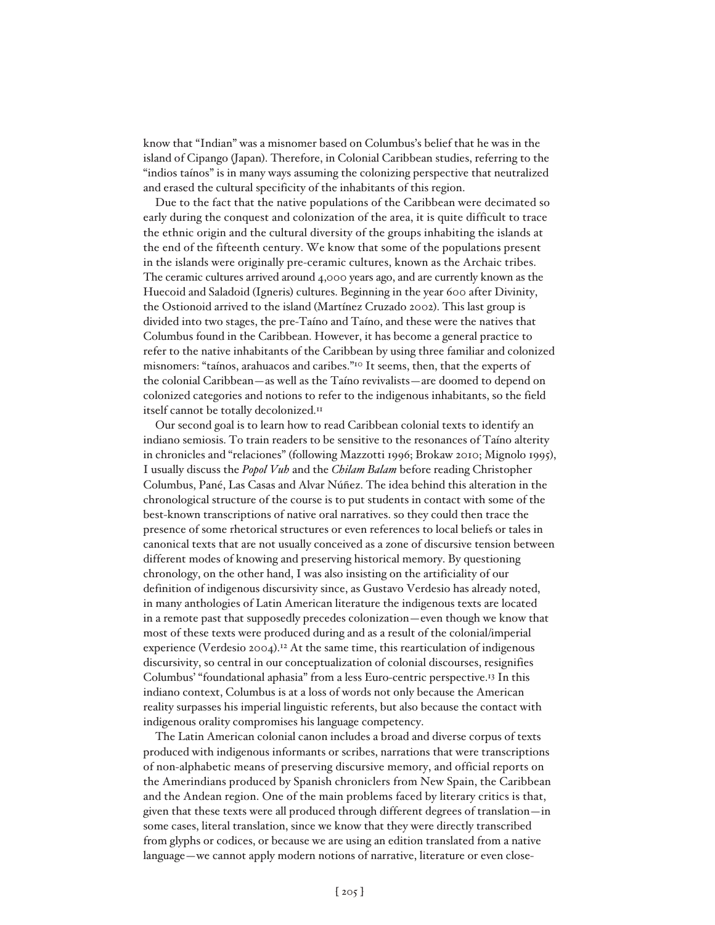know that "Indian" was a misnomer based on Columbus's belief that he was in the island of Cipango (Japan). Therefore, in Colonial Caribbean studies, referring to the "indios tainos" is in many ways assuming the colonizing perspective that neutralized and erased the cultural specificity of the inhabitants of this region.

Due to the fact that the native populations of the Caribbean were decimated so early during the conquest and colonization of the area, it is quite difficult to trace the ethnic origin and the cultural diversity of the groups inhabiting the islands at the end of the fifteenth century. We know that some of the populations present in the islands were originally pre-ceramic cultures, known as the Archaic tribes. The ceramic cultures arrived around 4,000 years ago, and are currently known as the Huecoid and Saladoid (Igneris) cultures. Beginning in the year 600 after Divinity, the Ostionoid arrived to the island (Martínez Cruzado 2002). This last group is divided into two stages, the pre-Taíno and Taíno, and these were the natives that Columbus found in the Caribbean. However, it has become a general practice to refer to the native inhabitants of the Caribbean by using three familiar and colonized misnomers: "tainos, arahuacos and caribes."<sup>10</sup> It seems, then, that the experts of the colonial Caribbean—as well as the Taino revivalists—are doomed to depend on colonized categories and notions to refer to the indigenous inhabitants, so the field itself cannot be totally decolonized.<sup>11</sup>

Our second goal is to learn how to read Caribbean colonial texts to identify an indiano semiosis. To train readers to be sensitive to the resonances of Taino alterity in chronicles and "relaciones" (following Mazzotti 1996; Brokaw 2010; Mignolo 1995), I usually discuss the *Popol Vub* and the *Chilam Balam* before reading Christopher Columbus, Pané, Las Casas and Alvar Núñez. The idea behind this alteration in the chronological structure of the course is to put students in contact with some of the best-known transcriptions of native oral narratives. so they could then trace the presence of some rhetorical structures or even references to local beliefs or tales in canonical texts that are not usually conceived as a zone of discursive tension between different modes of knowing and preserving historical memory. By questioning chronology, on the other hand, I was also insisting on the artificiality of our definition of indigenous discursivity since, as Gustavo Verdesio has already noted, in many anthologies of Latin American literature the indigenous texts are located in a remote past that supposedly precedes colonization—even though we know that most of these texts were produced during and as a result of the colonial/imperial experience (Verdesio 2004).<sup>12</sup> At the same time, this rearticulation of indigenous discursivity, so central in our conceptualization of colonial discourses, resignifies Columbus' "foundational aphasia" from a less Euro-centric perspective.<sup>13</sup> In this indiano context, Columbus is at a loss of words not only because the American reality surpasses his imperial linguistic referents, but also because the contact with indigenous orality compromises his language competency.

The Latin American colonial canon includes a broad and diverse corpus of texts produced with indigenous informants or scribes, narrations that were transcriptions of non-alphabetic means of preserving discursive memory, and official reports on the Amerindians produced by Spanish chroniclers from New Spain, the Caribbean and the Andean region. One of the main problems faced by literary critics is that, given that these texts were all produced through different degrees of translation—in some cases, literal translation, since we know that they were directly transcribed from glyphs or codices, or because we are using an edition translated from a native language-we cannot apply modern notions of narrative, literature or even close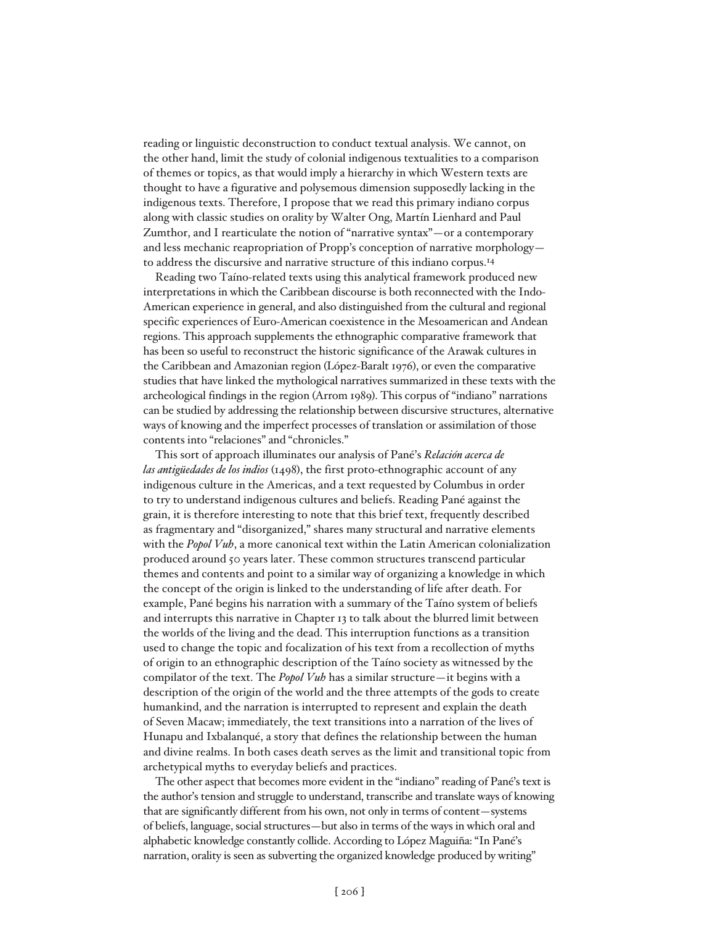reading or linguistic deconstruction to conduct textual analysis. We cannot, on the other hand, limit the study of colonial indigenous textualities to a comparison of themes or topics, as that would imply a hierarchy in which Western texts are thought to have a figurative and polysemous dimension supposedly lacking in the indigenous texts. Therefore, I propose that we read this primary indiano corpus along with classic studies on orality by Walter Ong, Martín Lienhard and Paul Zumthor, and I rearticulate the notion of "narrative syntax"—or a contemporary and less mechanic reapropriation of Propp's conception of narrative morphology to address the discursive and narrative structure of this indiano corpus.<sup>14</sup>

Reading two Taino-related texts using this analytical framework produced new interpretations in which the Caribbean discourse is both reconnected with the Indo-American experience in general, and also distinguished from the cultural and regional specific experiences of Euro-American coexistence in the Mesoamerican and Andean regions. This approach supplements the ethnographic comparative framework that has been so useful to reconstruct the historic significance of the Arawak cultures in the Caribbean and Amazonian region (López-Baralt 1976), or even the comparative studies that have linked the mythological narratives summarized in these texts with the archeological findings in the region (Arrom 1989). This corpus of "indiano" narrations can be studied by addressing the relationship between discursive structures, alternative ways of knowing and the imperfect processes of translation or assimilation of those contents into "relaciones" and "chronicles."

This sort of approach illuminates our analysis of Pané's Relación acerca de *las antigüedades de los indios* (1498), the first proto-ethnographic account of any indigenous culture in the Americas, and a text requested by Columbus in order to try to understand indigenous cultures and beliefs. Reading Pané against the grain, it is therefore interesting to note that this brief text, frequently described as fragmentary and "disorganized," shares many structural and narrative elements with the Popol Vub, a more canonical text within the Latin American colonialization produced around 50 years later. These common structures transcend particular themes and contents and point to a similar way of organizing a knowledge in which the concept of the origin is linked to the understanding of life after death. For example, Pané begins his narration with a summary of the Taino system of beliefs and interrupts this narrative in Chapter 13 to talk about the blurred limit between the worlds of the living and the dead. This interruption functions as a transition used to change the topic and focalization of his text from a recollection of myths of origin to an ethnographic description of the Taino society as witnessed by the compilator of the text. The *Popol Vub* has a similar structure—it begins with a description of the origin of the world and the three attempts of the gods to create humankind, and the narration is interrupted to represent and explain the death of Seven Macaw; immediately, the text transitions into a narration of the lives of Hunapu and Ixbalanqué, a story that defines the relationship between the human and divine realms. In both cases death serves as the limit and transitional topic from archetypical myths to every day beliefs and practices.

The other aspect that becomes more evident in the "indiano" reading of Pané's text is the author's tension and struggle to understand, transcribe and translate ways of knowing that are significantly different from his own, not only in terms of content—systems of beliefs, language, social structures—but also in terms of the ways in which oral and alphabetic knowledge constantly collide. According to López Maguiña: "In Pané's narration, orality is seen as subverting the organized knowledge produced by writing"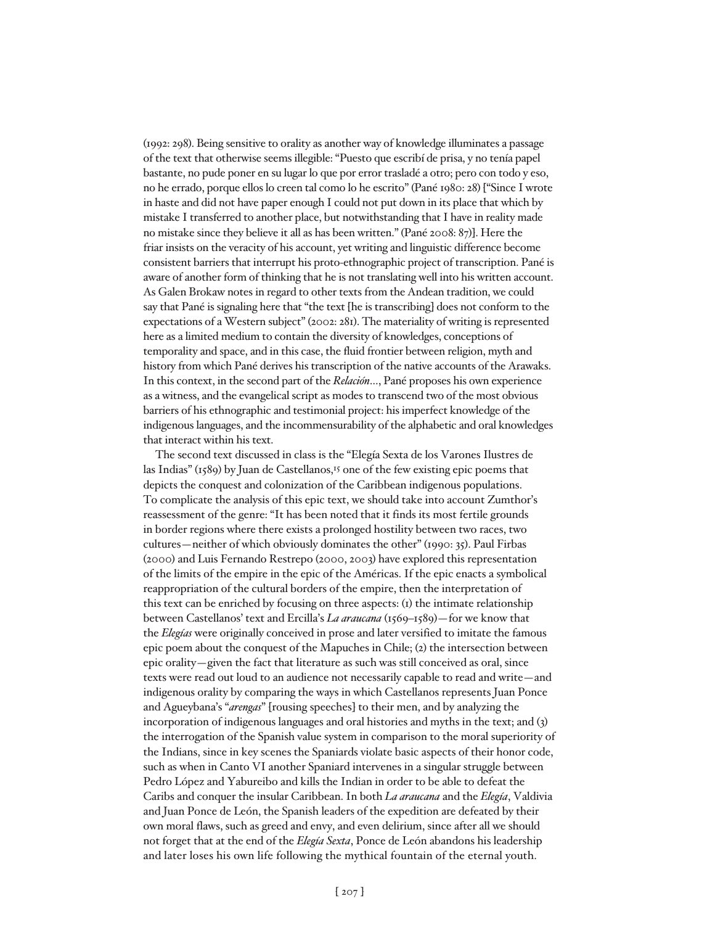(1992: 298). Being sensitive to orality as another way of knowledge illuminates a passage of the text that otherwise seems illegible: "Puesto que escribí de prisa, y no tenía papel bastante, no pude poner en su lugar lo que por error trasladé a otro; pero con todo y eso, no he errado, porque ellos lo creen tal como lo he escrito" (Pané 1980: 28) ["Since I wrote in haste and did not have paper enough I could not put down in its place that which by mistake I transferred to another place, but notwithstanding that I have in reality made no mistake since they believe it all as has been written." (Pané 2008: 87). Here the friar insists on the veracity of his account, yet writing and linguistic difference become consistent barriers that interrupt his proto-ethnographic project of transcription. Pané is aware of another form of thinking that he is not translating well into his written account. As Galen Brokaw notes in regard to other texts from the Andean tradition, we could say that Pané is signaling here that "the text [he is transcribing] does not conform to the expectations of a Western subject" (2002: 281). The materiality of writing is represented here as a limited medium to contain the diversity of knowledges, conceptions of temporality and space, and in this case, the fluid frontier between religion, myth and history from which Pané derives his transcription of the native accounts of the Arawaks. In this context, in the second part of the *Relación*..., Pané proposes his own experience as a witness, and the evangelical script as modes to transcend two of the most obvious barriers of his ethnographic and testimonial project: his imperfect knowledge of the indigenous languages, and the incommensurability of the alphabetic and oral knowledges that interact within his text.

The second text discussed in class is the "Elegía Sexta de los Varones Ilustres de las Indias"  $(x589)$  by Juan de Castellanos,<sup>15</sup> one of the few existing epic poems that depicts the conquest and colonization of the Caribbean indigenous populations. To complicate the analysis of this epic text, we should take into account Zumthor's reassessment of the genre: "It has been noted that it finds its most fertile grounds in border regions where there exists a prolonged hostility between two races, two cultures—neither of which obviously dominates the other"  $(1990: 35)$ . Paul Firbas (2000) and Luis Fernando Restrepo (2000, 2003) have explored this representation of the limits of the empire in the epic of the Américas. If the epic enacts a symbolical reappropriation of the cultural borders of the empire, then the interpretation of this text can be enriched by focusing on three aspects: (1) the intimate relationship between Castellanos' text and Ercilla's *La araucana* (1569–1589)—for we know that the *Elegías* were originally conceived in prose and later versified to imitate the famous epic poem about the conquest of the Mapuches in Chile; (2) the intersection between epic orality—given the fact that literature as such was still conceived as oral, since texts were read out loud to an audience not necessarily capable to read and write—and indigenous orality by comparing the ways in which Castellanos represents Juan Ponce and Agueybana's "arengas" [rousing speeches] to their men, and by analyzing the incorporation of indigenous languages and oral histories and myths in the text; and (3) the interrogation of the Spanish value system in comparison to the moral superiority of the Indians, since in key scenes the Spaniards violate basic aspects of their honor code, such as when in Canto VI another Spaniard intervenes in a singular struggle between Pedro López and Yabureibo and kills the Indian in order to be able to defeat the Caribs and conquer the insular Caribbean. In both La araucana and the Elegía, Valdivia and Juan Ponce de León, the Spanish leaders of the expedition are defeated by their own moral flaws, such as greed and envy, and even delirium, since after all we should not forget that at the end of the *Elegía Sexta*, Ponce de León abandons his leadership and later loses his own life following the mythical fountain of the eternal youth.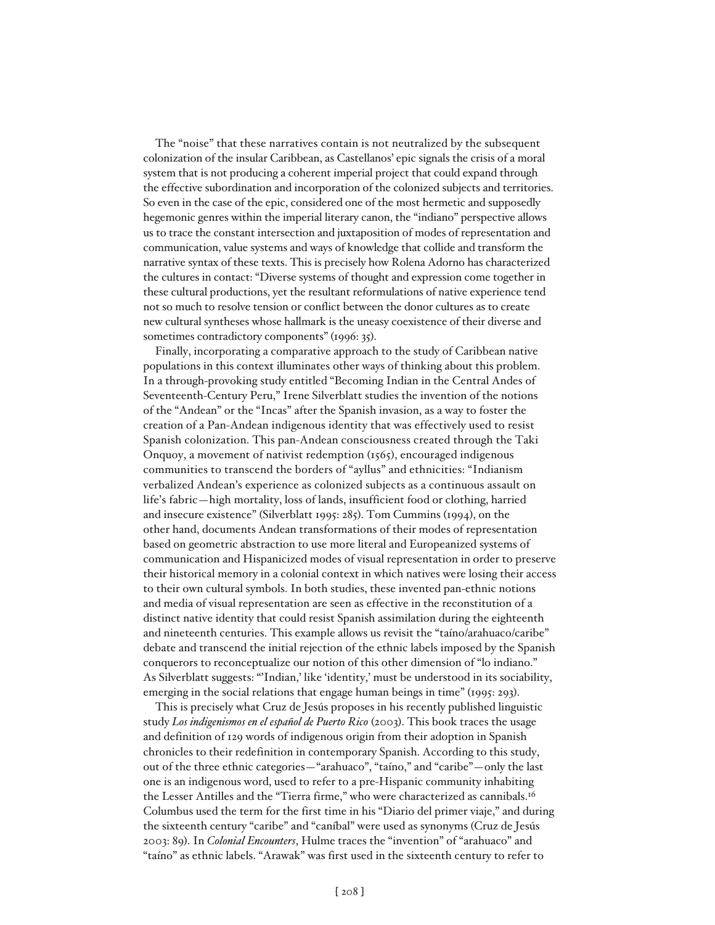The "noise" that these narratives contain is not neutralized by the subsequent colonization of the insular Caribbean, as Castellanos' epic signals the crisis of a moral system that is not producing a coherent imperial project that could expand through the effective subordination and incorporation of the colonized subjects and territories. So even in the case of the epic, considered one of the most hermetic and supposedly hegemonic genres within the imperial literary canon, the "indiano" perspective allows us to trace the constant intersection and juxtaposition of modes of representation and communication, value systems and ways of knowledge that collide and transform the narrative syntax of these texts. This is precisely how Rolena Adorno has characterized the cultures in contact: "Diverse systems of thought and expression come together in these cultural productions, yet the resultant reformulations of native experience tend not so much to resolve tension or conflict between the donor cultures as to create new cultural syntheses whose hallmark is the uneasy coexistence of their diverse and sometimes contradictory components" (1996: 35).

Finally, incorporating a comparative approach to the study of Caribbean native populations in this context illuminates other ways of thinking about this problem. In a through-provoking study entitled "Becoming Indian in the Central Andes of Seventeenth-Century Peru," Irene Silverblatt studies the invention of the notions of the "Andean" or the "Incas" after the Spanish invasion, as a way to foster the creation of a Pan-Andean indigenous identity that was effectively used to resist Spanish colonization. This pan-Andean consciousness created through the Taki Onquoy, a movement of nativist redemption (1565), encouraged indigenous communities to transcend the borders of "ayllus" and ethnicities: "Indianism verbalized Andean's experience as colonized subjects as a continuous assault on life's fabric-high mortality, loss of lands, insufficient food or clothing, harried and insecure existence" (Silverblatt 1995: 285). Tom Cummins (1994), on the other hand, documents Andean transformations of their modes of representation based on geometric abstraction to use more literal and Europeanized systems of communication and Hispanicized modes of visual representation in order to preserve their historical memory in a colonial context in which natives were losing their access to their own cultural symbols. In both studies, these invented pan-ethnic notions and media of visual representation are seen as effective in the reconstitution of a distinct native identity that could resist Spanish assimilation during the eighteenth and nineteenth centuries. This example allows us revisit the "taino/arahuaco/caribe" debate and transcend the initial rejection of the ethnic labels imposed by the Spanish conquerors to reconceptualize our notion of this other dimension of "lo indiano." As Silverblatt suggests: "Indian,' like 'identity,' must be understood in its sociability, emerging in the social relations that engage human beings in time" (1995: 293).

This is precisely what Cruz de Jesús proposes in his recently published linguistic study Los indigenismos en el español de Puerto Rico (2003). This book traces the usage and definition of 129 words of indigenous origin from their adoption in Spanish chronicles to their redefinition in contemporary Spanish. According to this study, out of the three ethnic categories—"arahuaco", "taino," and "caribe"—only the last one is an indigenous word, used to refer to a pre-Hispanic community inhabiting the Lesser Antilles and the "Tierra firme," who were characterized as cannibals.<sup>16</sup> Columbus used the term for the first time in his "Diario del primer viaje," and during the sixteenth century "caribe" and "canibal" were used as synonyms (Cruz de Jesús 2003: 89). In *Colonial Encounters*, Hulme traces the "invention" of "arahuaco" and "taíno" as ethnic labels. "Arawak" was first used in the sixteenth century to refer to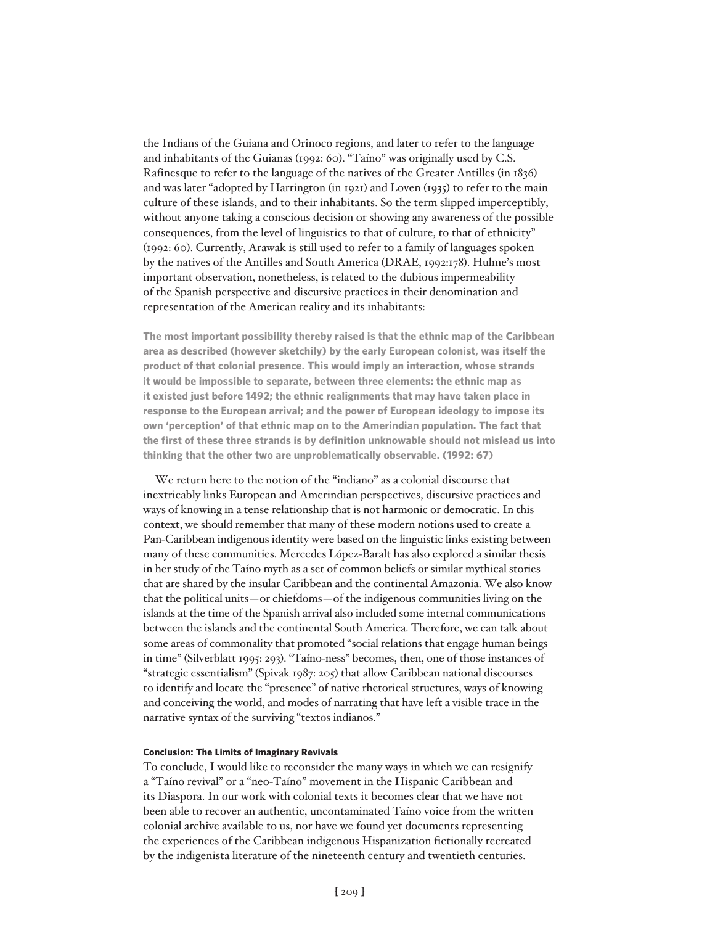the Indians of the Guiana and Orinoco regions, and later to refer to the language and inhabitants of the Guianas (1992: 60). "Taíno" was originally used by C.S. Rafinesque to refer to the language of the natives of the Greater Antilles (in 1836) and was later "adopted by Harrington (in 1921) and Loven (1935) to refer to the main culture of these islands, and to their inhabitants. So the term slipped imperceptibly, without anyone taking a conscious decision or showing any awareness of the possible consequences, from the level of linguistics to that of culture, to that of ethnicity" (1992: 60). Currently, Arawak is still used to refer to a family of languages spoken by the natives of the Antilles and South America (DRAE, 1992:178). Hulme's most important observation, nonetheless, is related to the dubious impermeability of the Spanish perspective and discursive practices in their denomination and representation of the American reality and its inhabitants:

The most important possibility thereby raised is that the ethnic map of the Caribbean area as described (however sketchily) by the early European colonist, was itself the product of that colonial presence. This would imply an interaction, whose strands it would be impossible to separate, between three elements: the ethnic map as it existed just before 1492; the ethnic realignments that may have taken place in response to the European arrival; and the power of European ideology to impose its own 'perception' of that ethnic map on to the Amerindian population. The fact that the first of these three strands is by definition unknowable should not mislead us into thinking that the other two are unproblematically observable. (1992: 67)

We return here to the notion of the "indiano" as a colonial discourse that inextricably links European and Amerindian perspectives, discursive practices and ways of knowing in a tense relationship that is not harmonic or democratic. In this context, we should remember that many of these modern notions used to create a Pan-Caribbean indigenous identity were based on the linguistic links existing between many of these communities. Mercedes López-Baralt has also explored a similar thesis in her study of the Taino myth as a set of common beliefs or similar mythical stories that are shared by the insular Caribbean and the continental Amazonia. We also know that the political units—or chiefdoms—of the indigenous communities living on the islands at the time of the Spanish arrival also included some internal communications between the islands and the continental South America. Therefore, we can talk about some areas of commonality that promoted "social relations that engage human beings in time" (Silverblatt 1995: 293). "Taíno-ness" becomes, then, one of those instances of "strategic essentialism" (Spivak 1987: 205) that allow Caribbean national discourses to identify and locate the "presence" of native rhetorical structures, ways of knowing and conceiving the world, and modes of narrating that have left a visible trace in the narrative syntax of the surviving "textos indianos."

# **Conclusion: The Limits of Imaginary Revivals**

To conclude, I would like to reconsider the many ways in which we can resignify a "Taíno revival" or a "neo-Taíno" movement in the Hispanic Caribbean and its Diaspora. In our work with colonial texts it becomes clear that we have not been able to recover an authentic, uncontaminated Taíno voice from the written colonial archive available to us, nor have we found yet documents representing the experiences of the Caribbean indigenous Hispanization fictionally recreated by the indigenista literature of the nineteenth century and twentieth centuries.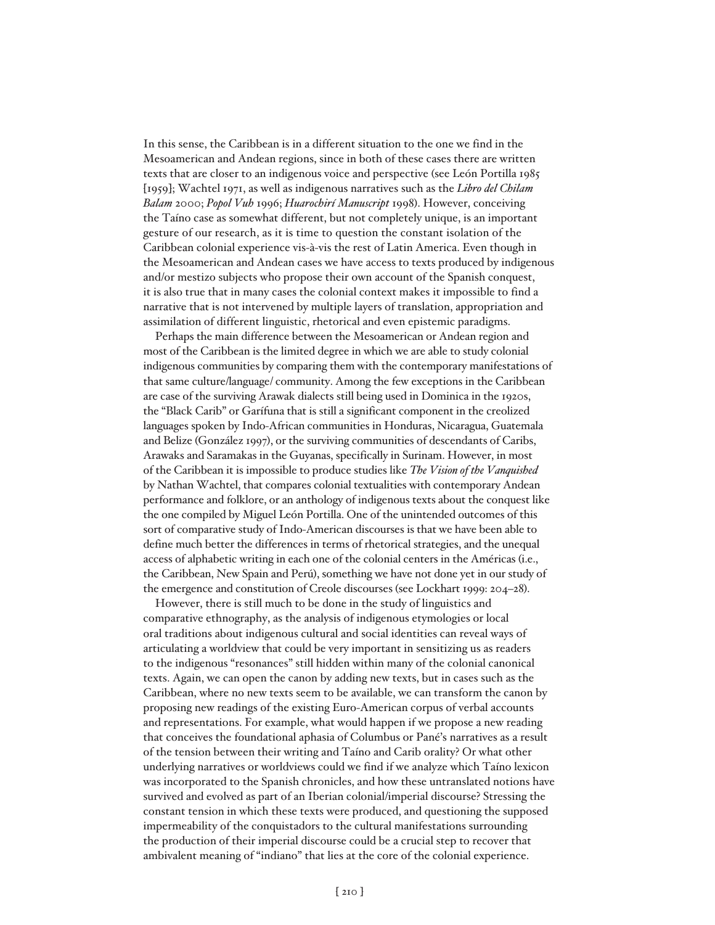In this sense, the Caribbean is in a different situation to the one we find in the Mesoamerican and Andean regions, since in both of these cases there are written texts that are closer to an indigenous voice and perspective (see León Portilla 1985 [1959]; Wachtel 1971, as well as indigenous narratives such as the Libro del Chilam Balam 2000; Popol Vub 1996; Huarochirí Manuscript 1998). However, conceiving the Taino case as somewhat different, but not completely unique, is an important gesture of our research, as it is time to question the constant isolation of the Caribbean colonial experience vis-à-vis the rest of Latin America. Even though in the Mesoamerican and Andean cases we have access to texts produced by indigenous and/or mestizo subjects who propose their own account of the Spanish conquest, it is also true that in many cases the colonial context makes it impossible to find a narrative that is not intervened by multiple layers of translation, appropriation and assimilation of different linguistic, rhetorical and even epistemic paradigms.

Perhaps the main difference between the Mesoamerican or Andean region and most of the Caribbean is the limited degree in which we are able to study colonial indigenous communities by comparing them with the contemporary manifestations of that same culture/language/community. Among the few exceptions in the Caribbean are case of the surviving Arawak dialects still being used in Dominica in the 1920s, the "Black Carib" or Garífuna that is still a significant component in the creolized languages spoken by Indo-African communities in Honduras, Nicaragua, Guatemala and Belize (González 1997), or the surviving communities of descendants of Caribs, Arawaks and Saramakas in the Guyanas, specifically in Surinam. However, in most of the Caribbean it is impossible to produce studies like The Vision of the Vanquished by Nathan Wachtel, that compares colonial textualities with contemporary Andean performance and folklore, or an anthology of indigenous texts about the conquest like the one compiled by Miguel León Portilla. One of the unintended outcomes of this sort of comparative study of Indo-American discourses is that we have been able to define much better the differences in terms of rhetorical strategies, and the unequal access of alphabetic writing in each one of the colonial centers in the Américas (i.e., the Caribbean, New Spain and Perú), something we have not done yet in our study of the emergence and constitution of Creole discourses (see Lockhart 1999: 204–28).

However, there is still much to be done in the study of linguistics and comparative ethnography, as the analysis of indigenous etymologies or local oral traditions about indigenous cultural and social identities can reveal ways of articulating a worldview that could be very important in sensitizing us as readers to the indigenous "resonances" still hidden within many of the colonial canonical texts. Again, we can open the canon by adding new texts, but in cases such as the Caribbean, where no new texts seem to be available, we can transform the canon by proposing new readings of the existing Euro-American corpus of verbal accounts and representations. For example, what would happen if we propose a new reading that conceives the foundational aphasia of Columbus or Pané's narratives as a result of the tension between their writing and Taino and Carib orality? Or what other underlying narratives or worldviews could we find if we analyze which Taino lexicon was incorporated to the Spanish chronicles, and how these untranslated notions have survived and evolved as part of an Iberian colonial/imperial discourse? Stressing the constant tension in which these texts were produced, and questioning the supposed impermeability of the conquistadors to the cultural manifestations surrounding the production of their imperial discourse could be a crucial step to recover that ambivalent meaning of "indiano" that lies at the core of the colonial experience.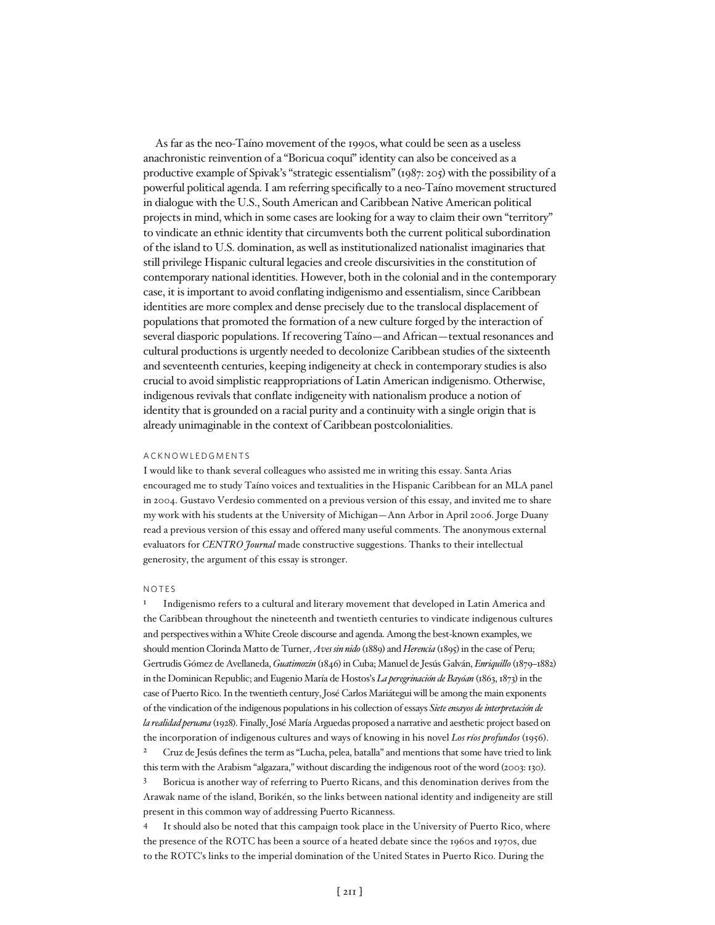As far as the neo-Taino movement of the 1990s, what could be seen as a useless anachronistic reinvention of a "Boricua coqui" identity can also be conceived as a productive example of Spivak's "strategic essentialism" (1987: 205) with the possibility of a powerful political agenda. I am referring specifically to a neo-Taino movement structured in dialogue with the U.S., South American and Caribbean Native American political projects in mind, which in some cases are looking for a way to claim their own "territory" to vindicate an ethnic identity that circumvents both the current political subordination of the island to U.S. domination, as well as institutionalized nationalist imaginaries that still privilege Hispanic cultural legacies and creole discursivities in the constitution of contemporary national identities. However, both in the colonial and in the contemporary case, it is important to avoid conflating indigenismo and essentialism, since Caribbean identities are more complex and dense precisely due to the translocal displacement of populations that promoted the formation of a new culture forged by the interaction of several diasporic populations. If recovering Taino—and African—textual resonances and cultural productions is urgently needed to decolonize Caribbean studies of the sixteenth and seventeenth centuries, keeping indigeneity at check in contemporary studies is also crucial to avoid simplistic reappropriations of Latin American indigenismo. Otherwise, indigenous revivals that conflate indigeneity with nationalism produce a notion of identity that is grounded on a racial purity and a continuity with a single origin that is already unimaginable in the context of Caribbean postcolonialities.

#### ACKNOWLEDGMENTS

I would like to thank several colleagues who assisted me in writing this essay. Santa Arias encouraged me to study Taíno voices and textualities in the Hispanic Caribbean for an MLA panel in 2004. Gustavo Verdesio commented on a previous version of this essay, and invited me to share my work with his students at the University of Michigan-Ann Arbor in April 2006. Jorge Duany read a previous version of this essay and offered many useful comments. The anonymous external evaluators for CENTRO Journal made constructive suggestions. Thanks to their intellectual generosity, the argument of this essay is stronger.

### NOTES

 $\mathbf{I}$ Indigenismo refers to a cultural and literary movement that developed in Latin America and the Caribbean throughout the nineteenth and twentieth centuries to vindicate indigenous cultures and perspectives within a White Creole discourse and agenda. Among the best-known examples, we should mention Clorinda Matto de Turner, Aves sin nido (1889) and Herencia (1895) in the case of Peru; Gertrudis Gómez de Avellaneda, Guatimozin (1846) in Cuba; Manuel de Jesús Galván, Enriquillo (1879-1882) in the Dominican Republic; and Eugenio María de Hostos's La peregrinación de Bayóan (1863, 1873) in the case of Puerto Rico. In the twentieth century, José Carlos Mariátegui will be among the main exponents of the vindication of the indigenous populations in his collection of essays Siete ensayos de interpretación de la realidad peruana (1928). Finally, José María Arguedas proposed a narrative and aesthetic project based on the incorporation of indigenous cultures and ways of knowing in his novel Los ríos profundos (1956).  $\mathbf 2$ Cruz de Jesús defines the term as "Lucha, pelea, batalla" and mentions that some have tried to link

this term with the Arabism "algazara," without discarding the indigenous root of the word (2003: 130).  $\overline{\mathbf{3}}$ Boricua is another way of referring to Puerto Ricans, and this denomination derives from the Arawak name of the island, Borikén, so the links between national identity and indigeneity are still present in this common way of addressing Puerto Ricanness.

 $\overline{4}$ It should also be noted that this campaign took place in the University of Puerto Rico, where the presence of the ROTC has been a source of a heated debate since the 1960s and 1970s, due to the ROTC's links to the imperial domination of the United States in Puerto Rico. During the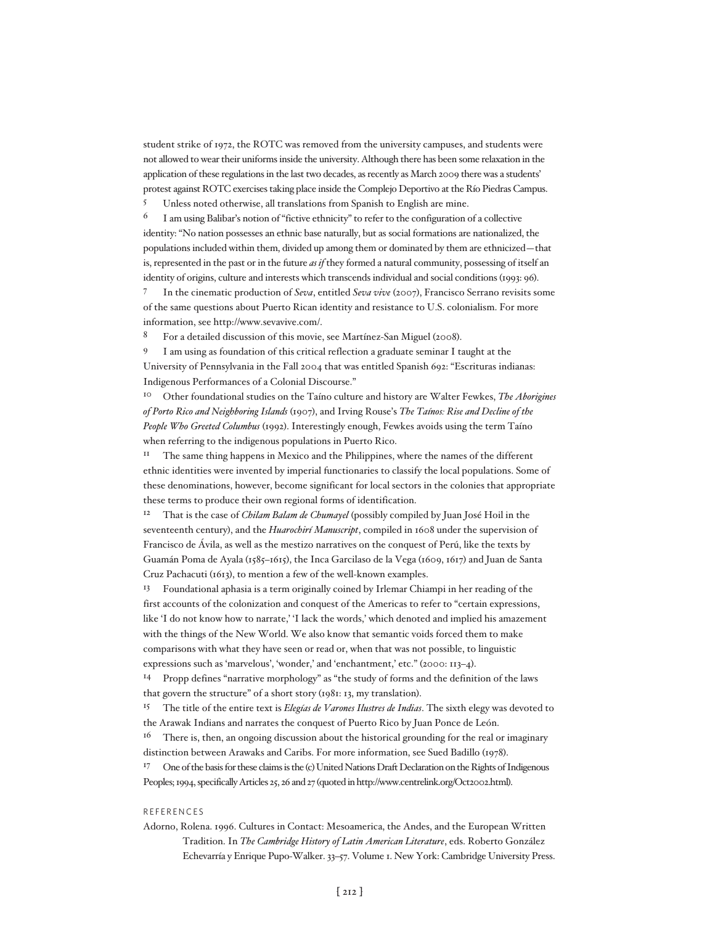student strike of 1972, the ROTC was removed from the university campuses, and students were not allowed to wear their uniforms inside the university. Although there has been some relaxation in the application of these regulations in the last two decades, as recently as March 2009 there was a students' protest against ROTC exercises taking place inside the Complejo Deportivo at the Río Piedras Campus.

 $\overline{5}$ Unless noted otherwise, all translations from Spanish to English are mine.

6 I am using Balibar's notion of "fictive ethnicity" to refer to the configuration of a collective identity: "No nation possesses an ethnic base naturally, but as social formations are nationalized, the populations included within them, divided up among them or dominated by them are ethnicized—that is, represented in the past or in the future  $as$  if they formed a natural community, possessing of itself an identity of origins, culture and interests which transcends individual and social conditions (1993: 96).

 $\,7$ In the cinematic production of Seva, entitled Seva vive (2007), Francisco Serrano revisits some of the same questions about Puerto Rican identity and resistance to U.S. colonialism. For more information, see http://www.sevavive.com/.

8 For a detailed discussion of this movie, see Martínez-San Miguel (2008).

 $\boldsymbol{9}$ I am using as foundation of this critical reflection a graduate seminar I taught at the University of Pennsylvania in the Fall 2004 that was entitled Spanish 692: "Escrituras indianas: Indigenous Performances of a Colonial Discourse."

 $_{\rm IO}$ Other foundational studies on the Taíno culture and history are Walter Fewkes, The Aborigines of Porto Rico and Neighboring Islands (1907), and Irving Rouse's The Taínos: Rise and Decline of the People Who Greeted Columbus (1992). Interestingly enough, Fewkes avoids using the term Taino when referring to the indigenous populations in Puerto Rico.

 $\scriptstyle\rm II$ The same thing happens in Mexico and the Philippines, where the names of the different ethnic identities were invented by imperial functionaries to classify the local populations. Some of these denominations, however, become significant for local sectors in the colonies that appropriate these terms to produce their own regional forms of identification.

12 That is the case of Chilam Balam de Chumayel (possibly compiled by Juan José Hoil in the seventeenth century), and the *Huarochirí Manuscript*, compiled in 1608 under the supervision of Francisco de Ávila, as well as the mestizo narratives on the conquest of Perú, like the texts by Guamán Poma de Ayala (1585-1615), the Inca Garcilaso de la Vega (1609, 1617) and Juan de Santa Cruz Pachacuti (1613), to mention a few of the well-known examples.

13 Foundational aphasia is a term originally coined by Irlemar Chiampi in her reading of the first accounts of the colonization and conquest of the Americas to refer to "certain expressions, like 'I do not know how to narrate,' 'I lack the words,' which denoted and implied his amazement with the things of the New World. We also know that semantic voids forced them to make comparisons with what they have seen or read or, when that was not possible, to linguistic expressions such as 'marvelous', 'wonder,' and 'enchantment,' etc." (2000: 113-4).

Propp defines "narrative morphology" as "the study of forms and the definition of the laws  $14$ that govern the structure" of a short story (1981: 13, my translation).

15 The title of the entire text is Elegías de Varones Ilustres de Indias. The sixth elegy was devoted to the Arawak Indians and narrates the conquest of Puerto Rico by Juan Ponce de León.

16 There is, then, an ongoing discussion about the historical grounding for the real or imaginary distinction between Arawaks and Caribs. For more information, see Sued Badillo (1978).

 $17$ One of the basis for these claims is the (c) United Nations Draft Declaration on the Rights of Indigenous Peoples; 1994, specifically Articles 25, 26 and 27 (quoted in http://www.centrelink.org/Oct2002.html).

#### REFERENCES

Adorno, Rolena. 1996. Cultures in Contact: Mesoamerica, the Andes, and the European Written Tradition. In The Cambridge History of Latin American Literature, eds. Roberto González Echevarría y Enrique Pupo-Walker. 33-57. Volume I. New York: Cambridge University Press.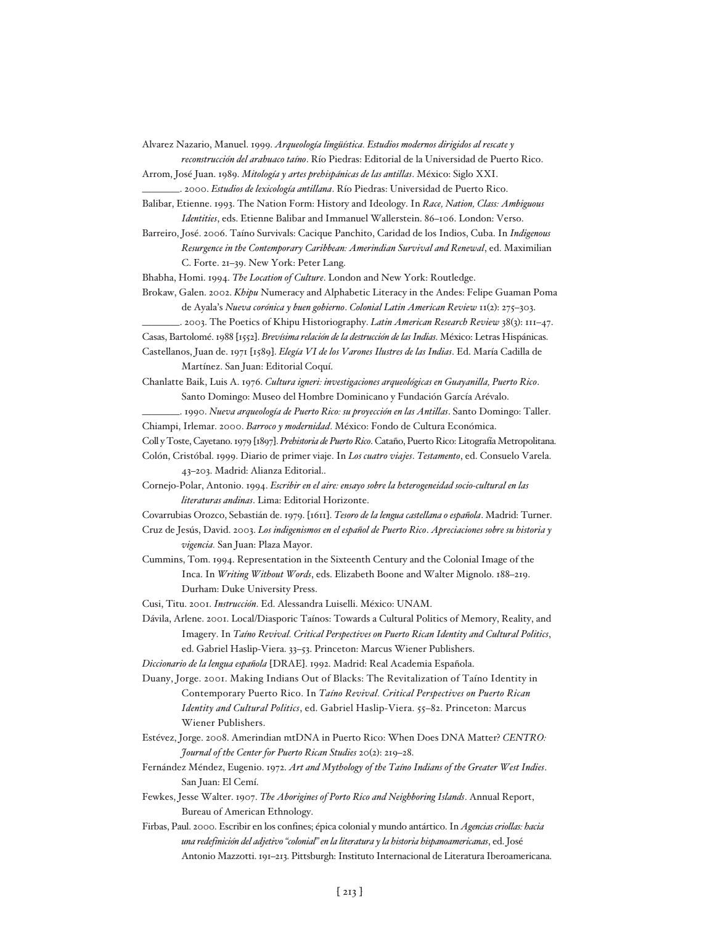Alvarez Nazario, Manuel. 1999. Arqueología lingüística. Estudios modernos dirigidos al rescate y

reconstrucción del arabuaco taíno. Río Piedras: Editorial de la Universidad de Puerto Rico. Arrom, José Juan. 1989. Mitología y artes prehispánicas de las antillas. México: Siglo XXI.

. 2000. Estudios de lexicología antillana. Río Piedras: Universidad de Puerto Rico.

Balibar, Etienne. 1993. The Nation Form: History and Ideology. In Race, Nation, Class: Ambiguous Identities, eds. Etienne Balibar and Immanuel Wallerstein. 86-106. London: Verso.

Barreiro, José. 2006. Taíno Survivals: Cacique Panchito, Caridad de los Indios, Cuba. In Indigenous Resurgence in the Contemporary Caribbean: Amerindian Survival and Renewal, ed. Maximilian C. Forte. 21-39. New York: Peter Lang.

Bhabha, Homi. 1994. The Location of Culture. London and New York: Routledge.

Brokaw, Galen. 2002. Khipu Numeracy and Alphabetic Literacy in the Andes: Felipe Guaman Poma de Ayala's Nueva corónica y buen gobierno. Colonial Latin American Review 11(2): 275-303.

. 2003. The Poetics of Khipu Historiography. Latin American Research Review 38(3): 111-47. Casas, Bartolomé. 1988 [1552]. Brevísima relación de la destrucción de las Indias. México: Letras Hispánicas. Castellanos, Juan de. 1971 [1589]. Elegía VI de los Varones Ilustres de las Indias. Ed. María Cadilla de

Martínez. San Juan: Editorial Coquí.

Chanlatte Baik, Luis A. 1976. Cultura igneri: investigaciones arqueológicas en Guayanilla, Puerto Rico. Santo Domingo: Museo del Hombre Dominicano y Fundación García Arévalo.

1990. Nueva arqueología de Puerto Rico: su proyección en las Antillas. Santo Domingo: Taller. Chiampi, Irlemar. 2000. Barroco y modernidad. México: Fondo de Cultura Económica.

Coll y Toste, Cayetano. 1979 [1897]. Prehistoria de Puerto Rico. Cataño, Puerto Rico: Litografía Metropolitana.

Colón, Cristóbal. 1999. Diario de primer viaje. In Los cuatro viajes. Testamento, ed. Consuelo Varela. 43-203. Madrid: Alianza Editorial..

Cornejo-Polar, Antonio. 1994. Escribir en el aire: ensayo sobre la heterogeneidad socio-cultural en las literaturas andinas. Lima: Editorial Horizonte.

Covarrubias Orozco, Sebastián de. 1979. [1611]. Tesoro de la lengua castellana o española. Madrid: Turner.

Cruz de Jesús, David. 2003. Los indigenismos en el español de Puerto Rico. Apreciaciones sobre su historia y vigencia. San Juan: Plaza Mayor.

Cummins, Tom. 1994. Representation in the Sixteenth Century and the Colonial Image of the Inca. In Writing Without Words, eds. Elizabeth Boone and Walter Mignolo. 188-219. Durham: Duke University Press.

Cusi, Titu. 2001. Instrucción. Ed. Alessandra Luiselli. México: UNAM.

Dávila, Arlene. 2001. Local/Diasporic Taínos: Towards a Cultural Politics of Memory, Reality, and Imagery. In Taino Revival. Critical Perspectives on Puerto Rican Identity and Cultural Politics, ed. Gabriel Haslip-Viera. 33-53. Princeton: Marcus Wiener Publishers.

Diccionario de la lengua española [DRAE]. 1992. Madrid: Real Academia Española.

Duany, Jorge. 2001. Making Indians Out of Blacks: The Revitalization of Taíno Identity in Contemporary Puerto Rico. In Taíno Revival. Critical Perspectives on Puerto Rican Identity and Cultural Politics, ed. Gabriel Haslip-Viera. 55-82. Princeton: Marcus Wiener Publishers.

Estévez, Jorge. 2008. Amerindian mtDNA in Puerto Rico: When Does DNA Matter? CENTRO: Journal of the Center for Puerto Rican Studies 20(2): 219-28.

Fernández Méndez, Eugenio. 1972. Art and Mythology of the Taíno Indians of the Greater West Indies. San Juan: El Cemí.

Fewkes, Jesse Walter. 1907. The Aborigines of Porto Rico and Neighboring Islands. Annual Report, Bureau of American Ethnology.

Firbas, Paul. 2000. Escribir en los confines; épica colonial y mundo antártico. In Agencias criollas: hacia una redefinición del adjetivo "colonial" en la literatura y la historia hispanoamericanas, ed. José Antonio Mazzotti. 191-213. Pittsburgh: Instituto Internacional de Literatura Iberoamericana.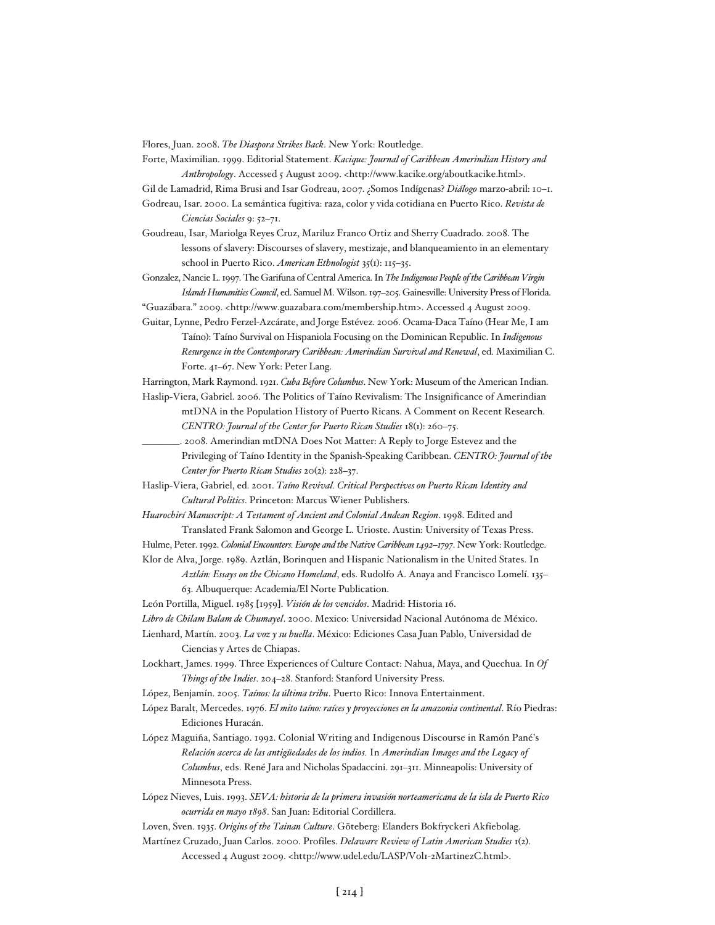Flores, Juan. 2008. The Diaspora Strikes Back. New York: Routledge.

Forte, Maximilian. 1999. Editorial Statement. Kacique: Journal of Caribbean Amerindian History and Anthropology. Accessed 5 August 2009. < http://www.kacike.org/aboutkacike.html>.

Gil de Lamadrid, Rima Brusi and Isar Godreau, 2007. ;Somos Indígenas? Diálogo marzo-abril: 10-1.

- Godreau, Isar. 2000. La semántica fugitiva: raza, color y vida cotidiana en Puerto Rico. Revista de Ciencias Sociales 9: 52-71.
- Goudreau, Isar, Mariolga Reyes Cruz, Mariluz Franco Ortiz and Sherry Cuadrado. 2008. The lessons of slavery: Discourses of slavery, mestizaje, and blanqueamiento in an elementary school in Puerto Rico. American Ethnologist 35(1): 115-35.

Gonzalez, Nancie L. 1997. The Garifuna of Central America. In The Indigenous People of the Caribbean Virgin Islands Humanities Council, ed. Samuel M. Wilson. 197-205. Gainesville: University Press of Florida.

- "Guazábara." 2009. < http://www.guazabara.com/membership.htm>. Accessed 4 August 2009.
- Guitar, Lynne, Pedro Ferzel-Azcárate, and Jorge Estévez. 2006. Ocama-Daca Taíno (Hear Me, I am Taíno): Taíno Survival on Hispaniola Focusing on the Dominican Republic. In Indigenous Resurgence in the Contemporary Caribbean: Amerindian Survival and Renewal, ed. Maximilian C. Forte. 41-67. New York: Peter Lang.

Harrington, Mark Raymond. 1921. Cuba Before Columbus. New York: Museum of the American Indian.

- Haslip-Viera, Gabriel. 2006. The Politics of Taíno Revivalism: The Insignificance of Amerindian mtDNA in the Population History of Puerto Ricans. A Comment on Recent Research. CENTRO: Journal of the Center for Puerto Rican Studies 18(1): 260-75.
	- . 2008. Amerindian mtDNA Does Not Matter: A Reply to Jorge Estevez and the Privileging of Taíno Identity in the Spanish-Speaking Caribbean. CENTRO: Journal of the Center for Puerto Rican Studies 20(2): 228-37.
- Haslip-Viera, Gabriel, ed. 2001. Taíno Revival. Critical Perspectives on Puerto Rican Identity and Cultural Politics. Princeton: Marcus Wiener Publishers.
- Huarochirí Manuscript: A Testament of Ancient and Colonial Andean Region. 1998. Edited and Translated Frank Salomon and George L. Urioste. Austin: University of Texas Press.
- Hulme, Peter. 1992. Colonial Encounters. Europe and the Native Caribbean 1492-1797. New York: Routledge.
- Klor de Alva, Jorge. 1989. Aztlán, Borinquen and Hispanic Nationalism in the United States. In Aztlán: Essays on the Chicano Homeland, eds. Rudolfo A. Anaya and Francisco Lomelí. 135– 63. Albuquerque: Academia/El Norte Publication.
- León Portilla, Miguel. 1985 [1959]. Visión de los vencidos. Madrid: Historia 16.
- Libro de Chilam Balam de Chumayel. 2000. Mexico: Universidad Nacional Autónoma de México.
- Lienhard, Martín. 2003. La voz y su huella. México: Ediciones Casa Juan Pablo, Universidad de Ciencias y Artes de Chiapas.
- Lockhart, James. 1999. Three Experiences of Culture Contact: Nahua, Maya, and Quechua. In Of Things of the Indies. 204-28. Stanford: Stanford University Press.
- López, Benjamín. 2005. Taínos: la última tribu. Puerto Rico: Innova Entertainment.
- López Baralt, Mercedes. 1976. El mito taíno: raíces y proyecciones en la amazonia continental. Río Piedras: Ediciones Huracán.
- López Maguiña, Santiago. 1992. Colonial Writing and Indigenous Discourse in Ramón Pané's Relación acerca de las antigüedades de los indios. In Amerindian Images and the Legacy of Columbus, eds. René Jara and Nicholas Spadaccini. 291-311. Minneapolis: University of Minnesota Press.
- López Nieves, Luis. 1993. SEVA: historia de la primera invasión norteamericana de la isla de Puerto Rico ocurrida en mayo 1898. San Juan: Editorial Cordillera.
- Loven, Sven, 1935. Origins of the Tainan Culture. Göteberg: Elanders Bokfryckeri Akfiebolag.
- Martínez Cruzado, Juan Carlos. 2000. Profiles. Delaware Review of Latin American Studies 1(2).

Accessed 4 August 2009. <http://www.udel.edu/LASP/Vol1-2MartinezC.html>.